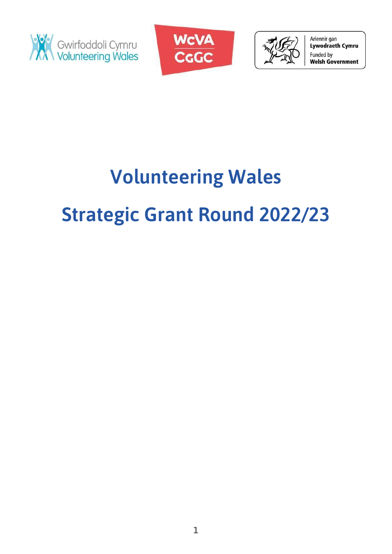





Ariennir gan Lywodraeth Cymru Funded by **Welsh Government** 

# **Volunteering Wales Strategic Grant Round 2022/23**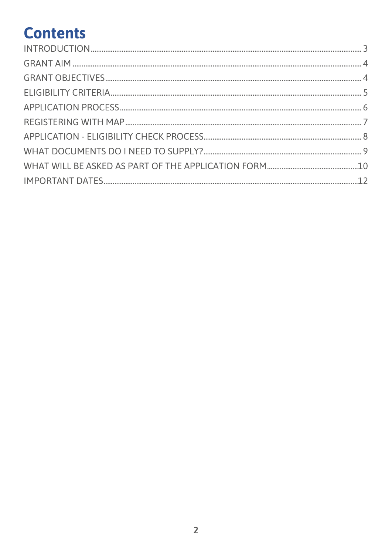# **Contents**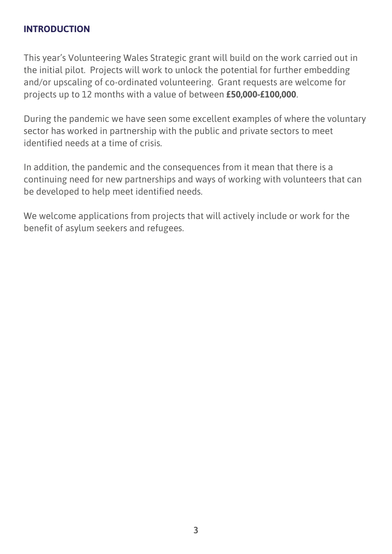#### <span id="page-2-0"></span>**INTRODUCTION**

This year's Volunteering Wales Strategic grant will build on the work carried out in the initial pilot. Projects will work to unlock the potential for further embedding and/or upscaling of co-ordinated volunteering. Grant requests are welcome for projects up to 12 months with a value of between **£50,000-£100,000**.

During the pandemic we have seen some excellent examples of where the voluntary sector has worked in partnership with the public and private sectors to meet identified needs at a time of crisis.

In addition, the pandemic and the consequences from it mean that there is a continuing need for new partnerships and ways of working with volunteers that can be developed to help meet identified needs.

We welcome applications from projects that will actively include or work for the benefit of asylum seekers and refugees.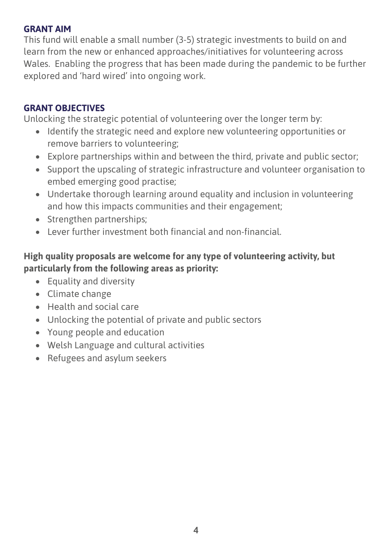#### <span id="page-3-0"></span>**GRANT AIM**

This fund will enable a small number (3-5) strategic investments to build on and learn from the new or enhanced approaches/initiatives for volunteering across Wales. Enabling the progress that has been made during the pandemic to be further explored and 'hard wired' into ongoing work.

#### <span id="page-3-1"></span>**GRANT OBJECTIVES**

Unlocking the strategic potential of volunteering over the longer term by:

- Identify the strategic need and explore new volunteering opportunities or remove barriers to volunteering;
- Explore partnerships within and between the third, private and public sector;
- Support the upscaling of strategic infrastructure and volunteer organisation to embed emerging good practise;
- Undertake thorough learning around equality and inclusion in volunteering and how this impacts communities and their engagement;
- Strengthen partnerships;
- Lever further investment both financial and non-financial.

# **High quality proposals are welcome for any type of volunteering activity, but particularly from the following areas as priority:**

- Equality and diversity
- Climate change
- Health and social care
- Unlocking the potential of private and public sectors
- Young people and education
- Welsh Language and cultural activities
- Refugees and asylum seekers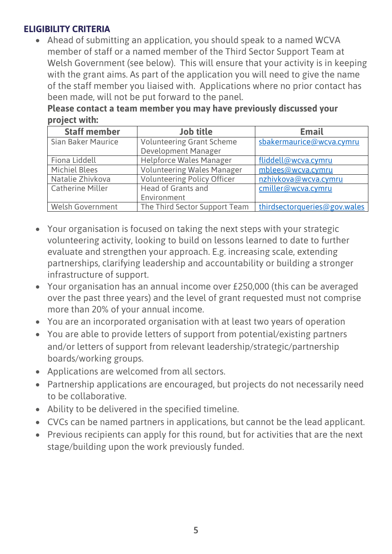## <span id="page-4-0"></span>**ELIGIBILITY CRITERIA**

• Ahead of submitting an application, you should speak to a named WCVA member of staff or a named member of the Third Sector Support Team at Welsh Government (see below). This will ensure that your activity is in keeping with the grant aims. As part of the application you will need to give the name of the staff member you liaised with. Applications where no prior contact has been made, will not be put forward to the panel.

**Please contact a team member you may have previously discussed your project with:**

| <b>Staff member</b>       | <b>Job title</b>                   | <b>Email</b>                 |
|---------------------------|------------------------------------|------------------------------|
| <b>Sian Baker Maurice</b> | <b>Volunteering Grant Scheme</b>   | sbakermaurice@wcva.cymru     |
|                           | Development Manager                |                              |
| Fiona Liddell             | <b>Helpforce Wales Manager</b>     | fliddell@wcva.cymru          |
| <b>Michiel Blees</b>      | <b>Volunteering Wales Manager</b>  | mblees@wcva.cymru            |
| Natalie Zhivkova          | <b>Volunteering Policy Officer</b> | nzhivkova@wcva.cymru         |
| <b>Catherine Miller</b>   | <b>Head of Grants and</b>          | cmiller@wcva.cymru           |
|                           | Environment                        |                              |
| <b>Welsh Government</b>   | The Third Sector Support Team      | thirdsectorqueries@gov.wales |

- Your organisation is focused on taking the next steps with your strategic volunteering activity, looking to build on lessons learned to date to further evaluate and strengthen your approach. E.g. increasing scale, extending partnerships, clarifying leadership and accountability or building a stronger infrastructure of support.
- Your organisation has an annual income over £250,000 (this can be averaged over the past three years) and the level of grant requested must not comprise more than 20% of your annual income.
- You are an incorporated organisation with at least two years of operation
- You are able to provide letters of support from potential/existing partners and/or letters of support from relevant leadership/strategic/partnership boards/working groups.
- Applications are welcomed from all sectors.
- Partnership applications are encouraged, but projects do not necessarily need to be collaborative.
- Ability to be delivered in the specified timeline.
- CVCs can be named partners in applications, but cannot be the lead applicant.
- Previous recipients can apply for this round, but for activities that are the next stage/building upon the work previously funded.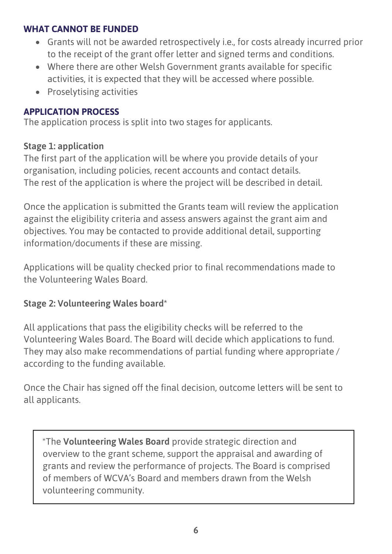#### **WHAT CANNOT BE FUNDED**

- Grants will not be awarded retrospectively i.e., for costs already incurred prior to the receipt of the grant offer letter and signed terms and conditions.
- Where there are other Welsh Government grants available for specific activities, it is expected that they will be accessed where possible.
- Proselytising activities

# <span id="page-5-0"></span>**APPLICATION PROCESS**

The application process is split into two stages for applicants.

# **Stage 1: application**

The first part of the application will be where you provide details of your organisation, including policies, recent accounts and contact details. The rest of the application is where the project will be described in detail.

Once the application is submitted the Grants team will review the application against the eligibility criteria and assess answers against the grant aim and objectives. You may be contacted to provide additional detail, supporting information/documents if these are missing.

Applications will be quality checked prior to final recommendations made to the Volunteering Wales Board.

# **Stage 2: Volunteering Wales board\***

All applications that pass the eligibility checks will be referred to the Volunteering Wales Board. The Board will decide which applications to fund. They may also make recommendations of partial funding where appropriate / according to the funding available.

Once the Chair has signed off the final decision, outcome letters will be sent to all applicants.

\*The **Volunteering Wales Board** provide strategic direction and overview to the grant scheme, support the appraisal and awarding of grants and review the performance of projects. The Board is comprised of members of WCVA's Board and members drawn from the Welsh volunteering community.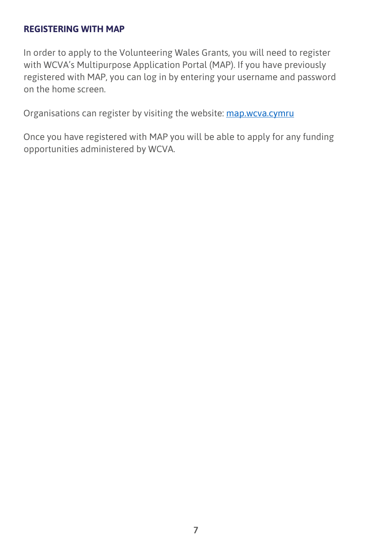#### <span id="page-6-0"></span>**REGISTERING WITH MAP**

In order to apply to the Volunteering Wales Grants, you will need to register with WCVA's Multipurpose Application Portal (MAP). If you have previously registered with MAP, you can log in by entering your username and password on the home screen.

Organisations can register by visiting the website: [map.wcva.cymru](https://map.wcva.cymru/)

Once you have registered with MAP you will be able to apply for any funding opportunities administered by WCVA.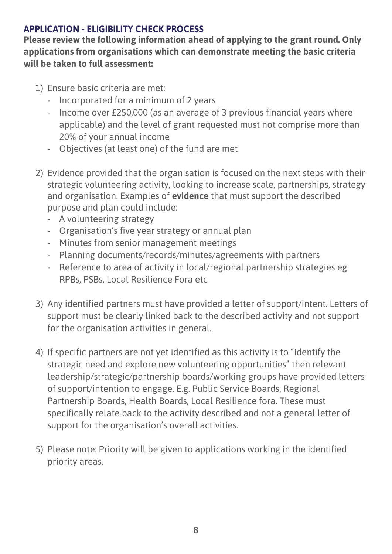## <span id="page-7-0"></span>**APPLICATION - ELIGIBILITY CHECK PROCESS**

**Please review the following information ahead of applying to the grant round. Only applications from organisations which can demonstrate meeting the basic criteria will be taken to full assessment:**

- 1) Ensure basic criteria are met:
	- Incorporated for a minimum of 2 years
	- Income over £250,000 (as an average of 3 previous financial years where applicable) and the level of grant requested must not comprise more than 20% of your annual income
	- Objectives (at least one) of the fund are met
- 2) Evidence provided that the organisation is focused on the next steps with their strategic volunteering activity, looking to increase scale, partnerships, strategy and organisation. Examples of **evidence** that must support the described purpose and plan could include:
	- A volunteering strategy
	- Organisation's five year strategy or annual plan
	- Minutes from senior management meetings
	- Planning documents/records/minutes/agreements with partners
	- Reference to area of activity in local/regional partnership strategies eg RPBs, PSBs, Local Resilience Fora etc
- 3) Any identified partners must have provided a letter of support/intent. Letters of support must be clearly linked back to the described activity and not support for the organisation activities in general.
- 4) If specific partners are not yet identified as this activity is to "Identify the strategic need and explore new volunteering opportunities" then relevant leadership/strategic/partnership boards/working groups have provided letters of support/intention to engage. E.g. Public Service Boards, Regional Partnership Boards, Health Boards, Local Resilience fora. These must specifically relate back to the activity described and not a general letter of support for the organisation's overall activities.
- 5) Please note: Priority will be given to applications working in the identified priority areas.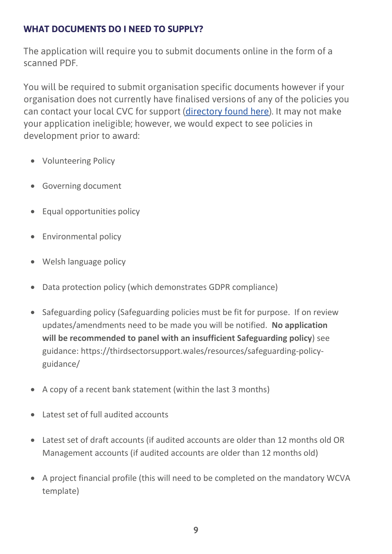## <span id="page-8-0"></span>**WHAT DOCUMENTS DO I NEED TO SUPPLY?**

The application will require you to submit documents online in the form of a scanned PDF.

You will be required to submit organisation specific documents however if your organisation does not currently have finalised versions of any of the policies you can contact your local CVC for support [\(directory found here\)](https://thirdsectorsupport.wales/contact/). It may not make your application ineligible; however, we would expect to see policies in development prior to award:

- Volunteering Policy
- Governing document
- Equal opportunities policy
- Environmental policy
- Welsh language policy
- Data protection policy (which demonstrates GDPR compliance)
- Safeguarding policy (Safeguarding policies must be fit for purpose. If on review updates/amendments need to be made you will be notified. **No application will be recommended to panel with an insufficient Safeguarding policy**) see guidance: https://thirdsectorsupport.wales/resources/safeguarding-policyguidance/
- A copy of a recent bank statement (within the last 3 months)
- Latest set of full audited accounts
- Latest set of draft accounts (if audited accounts are older than 12 months old OR Management accounts (if audited accounts are older than 12 months old)
- A project financial profile (this will need to be completed on the mandatory WCVA template)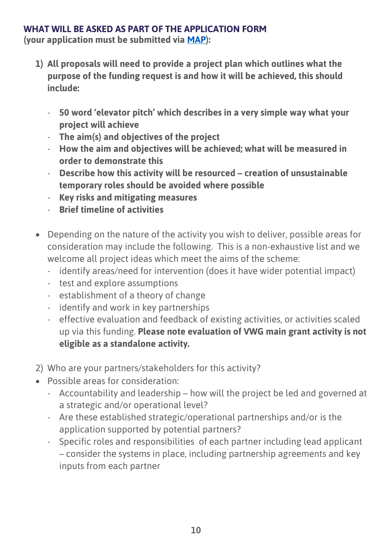#### <span id="page-9-0"></span>**WHAT WILL BE ASKED AS PART OF THE APPLICATION FORM**

**(your application must be submitted via [MAP\)](https://map.wcva.cymru/):**

- **1) All proposals will need to provide a project plan which outlines what the purpose of the funding request is and how it will be achieved, this should include:**
	- **50 word 'elevator pitch' which describes in a very simple way what your project will achieve**
	- **The aim(s) and objectives of the project**
	- **How the aim and objectives will be achieved; what will be measured in order to demonstrate this**
	- **Describe how this activity will be resourced – creation of unsustainable temporary roles should be avoided where possible**
	- **Key risks and mitigating measures**
	- **Brief timeline of activities**
- Depending on the nature of the activity you wish to deliver, possible areas for consideration may include the following. This is a non-exhaustive list and we welcome all project ideas which meet the aims of the scheme:
	- identify areas/need for intervention (does it have wider potential impact)
	- test and explore assumptions
	- establishment of a theory of change
	- identify and work in key partnerships
	- effective evaluation and feedback of existing activities, or activities scaled up via this funding. **Please note evaluation of VWG main grant activity is not eligible as a standalone activity.**
- 2) Who are your partners/stakeholders for this activity?
- Possible areas for consideration:
	- Accountability and leadership how will the project be led and governed at a strategic and/or operational level?
	- Are these established strategic/operational partnerships and/or is the application supported by potential partners?
	- Specific roles and responsibilities of each partner including lead applicant – consider the systems in place, including partnership agreements and key inputs from each partner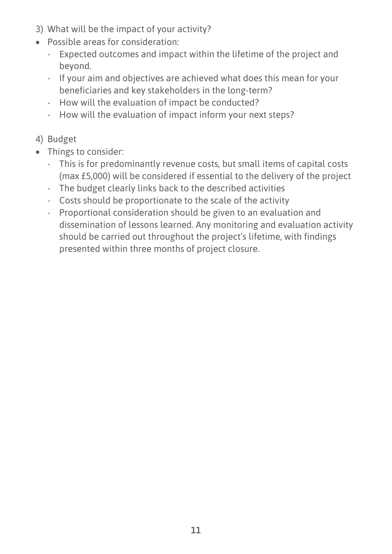- 3) What will be the impact of your activity?
- Possible areas for consideration:
	- Expected outcomes and impact within the lifetime of the project and beyond.
	- If your aim and objectives are achieved what does this mean for your beneficiaries and key stakeholders in the long-term?
	- How will the evaluation of impact be conducted?
	- How will the evaluation of impact inform your next steps?

# 4) Budget

- Things to consider:
	- This is for predominantly revenue costs, but small items of capital costs (max £5,000) will be considered if essential to the delivery of the project
	- The budget clearly links back to the described activities
	- Costs should be proportionate to the scale of the activity
	- Proportional consideration should be given to an evaluation and dissemination of lessons learned. Any monitoring and evaluation activity should be carried out throughout the project's lifetime, with findings presented within three months of project closure.